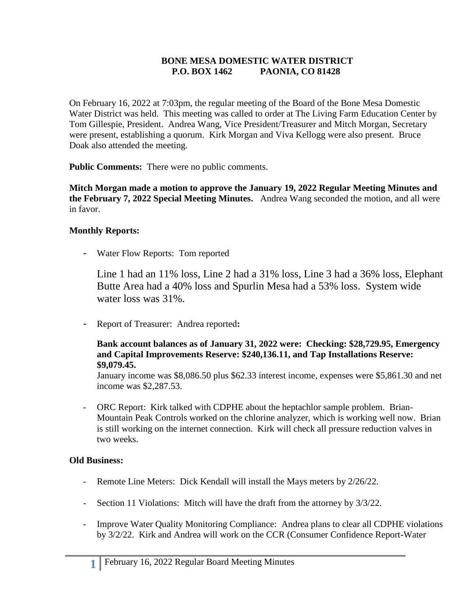### **BONE MESA DOMESTIC WATER DISTRICT P.O. BOX 1462 PAONIA, CO 81428**

On February 16, 2022 at 7:03pm, the regular meeting of the Board of the Bone Mesa Domestic Water District was held. This meeting was called to order at The Living Farm Education Center by Tom Gillespie, President. Andrea Wang, Vice President/Treasurer and Mitch Morgan, Secretary were present, establishing a quorum. Kirk Morgan and Viva Kellogg were also present. Bruce Doak also attended the meeting.

**Public Comments:** There were no public comments.

**Mitch Morgan made a motion to approve the January 19, 2022 Regular Meeting Minutes and the February 7, 2022 Special Meeting Minutes.** Andrea Wang seconded the motion, and all were in favor.

# **Monthly Reports:**

- Water Flow Reports: Tom reported

Line 1 had an 11% loss, Line 2 had a 31% loss, Line 3 had a 36% loss, Elephant Butte Area had a 40% loss and Spurlin Mesa had a 53% loss. System wide water loss was 31%.

- Report of Treasurer: Andrea reported**:**

#### **Bank account balances as of January 31, 2022 were: Checking: \$28,729.95, Emergency and Capital Improvements Reserve: \$240,136.11, and Tap Installations Reserve: \$9,079.45.**

January income was \$8,086.50 plus \$62.33 interest income, expenses were \$5,861.30 and net income was \$2,287.53.

- ORC Report: Kirk talked with CDPHE about the heptachlor sample problem. Brian-Mountain Peak Controls worked on the chlorine analyzer, which is working well now. Brian is still working on the internet connection. Kirk will check all pressure reduction valves in two weeks.

### **Old Business:**

- Remote Line Meters: Dick Kendall will install the Mays meters by 2/26/22.
- Section 11 Violations: Mitch will have the draft from the attorney by  $3/3/22$ .
- Improve Water Quality Monitoring Compliance: Andrea plans to clear all CDPHE violations by 3/2/22. Kirk and Andrea will work on the CCR (Consumer Confidence Report-Water